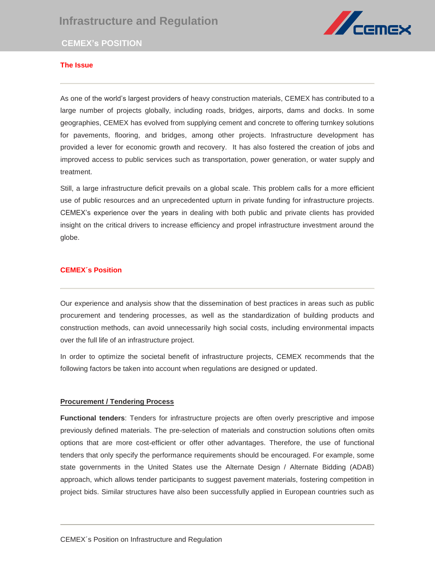

# **CEMEX's POSITION**

# **The Issue**

As one of the world's largest providers of heavy construction materials, CEMEX has contributed to a large number of projects globally, including roads, bridges, airports, dams and docks. In some range Trumber or projects grobally, including roads, bridges, aliports, dams and docks. In some<br>geographies, CEMEX has evolved from supplying cement and concrete to offering turnkey solutions for pavements, flooring, and bridges, among other projects. Infrastructure development has provided a lever for economic growth and recovery. It has also fostered the creation of jobs and improved access to public services such as transportation, power generation, or water supply and treatment.

Still, a large infrastructure deficit prevails on a global scale. This problem calls for a more efficient use of public resources and an unprecedented upturn in private funding for infrastructure projects. CEMEX's experience over the years in dealing with both public and private clients has provided insight on the critical drivers to increase efficiency and propel infrastructure investment around the globe.

### **CEMEX´s Position**

Our experience and analysis show that the dissemination of best practices in areas such as public procurement and tendering processes, as well as the standardization of building products and construction methods, can avoid unnecessarily high social costs, including environmental impacts over the full life of an infrastructure project.

In order to optimize the societal benefit of infrastructure projects, CEMEX recommends that the following factors be taken into account when regulations are designed or updated.

### **Procurement / Tendering Process**

**Functional tenders**: Tenders for infrastructure projects are often overly prescriptive and impose previously defined materials. The pre-selection of materials and construction solutions often omits options that are more cost-efficient or offer other advantages. Therefore, the use of functional tenders that only specify the performance requirements should be encouraged. For example, some state governments in the United States use the Alternate Design / Alternate Bidding (ADAB) approach, which allows tender participants to suggest pavement materials, fostering competition in project bids. Similar structures have also been successfully applied in European countries such as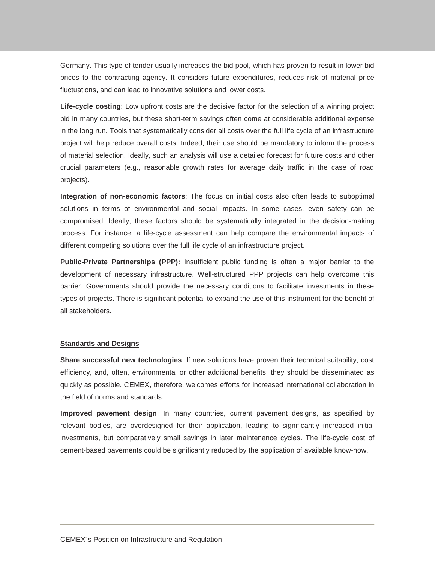Germany. This type of tender usually increases the bid pool, which has proven to result in lower bid prices to the contracting agency. It considers future expenditures, reduces risk of material price fluctuations, and can lead to innovative solutions and lower costs.

**Life-cycle costing**: Low upfront costs are the decisive factor for the selection of a winning project bid in many countries, but these short-term savings often come at considerable additional expense in the long run. Tools that systematically consider all costs over the full life cycle of an infrastructure project will help reduce overall costs. Indeed, their use should be mandatory to inform the process of material selection. Ideally, such an analysis will use a detailed forecast for future costs and other crucial parameters (e.g., reasonable growth rates for average daily traffic in the case of road projects).

**Integration of non-economic factors**: The focus on initial costs also often leads to suboptimal solutions in terms of environmental and social impacts. In some cases, even safety can be compromised. Ideally, these factors should be systematically integrated in the decision-making process. For instance, a life-cycle assessment can help compare the environmental impacts of different competing solutions over the full life cycle of an infrastructure project.

**Public-Private Partnerships (PPP):** Insufficient public funding is often a major barrier to the development of necessary infrastructure. Well-structured PPP projects can help overcome this barrier. Governments should provide the necessary conditions to facilitate investments in these types of projects. There is significant potential to expand the use of this instrument for the benefit of all stakeholders.

#### **Standards and Designs**

**Share successful new technologies**: If new solutions have proven their technical suitability, cost efficiency, and, often, environmental or other additional benefits, they should be disseminated as quickly as possible. CEMEX, therefore, welcomes efforts for increased international collaboration in the field of norms and standards.

**Improved pavement design**: In many countries, current pavement designs, as specified by relevant bodies, are overdesigned for their application, leading to significantly increased initial investments, but comparatively small savings in later maintenance cycles. The life-cycle cost of cement-based pavements could be significantly reduced by the application of available know-how.